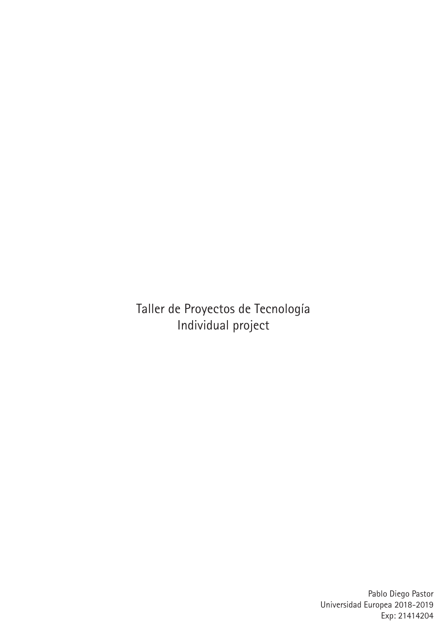Taller de Proyectos de Tecnología Individual project

> Pablo Diego Pastor Universidad Europea 2018-2019 Exp: 21414204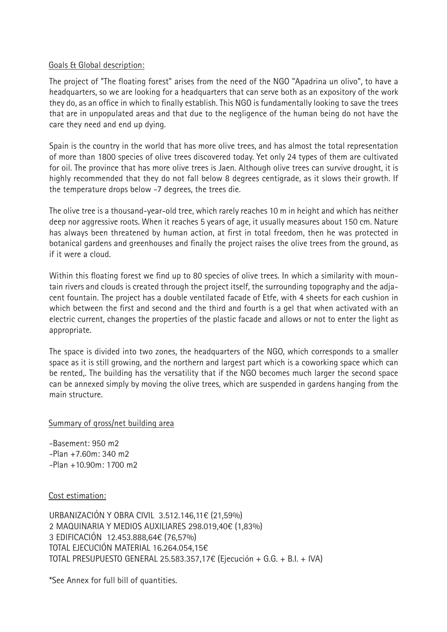# Goals & Global description:

The project of "The floating forest" arises from the need of the NGO "Apadrina un olivo", to have a headquarters, so we are looking for a headquarters that can serve both as an expository of the work they do, as an office in which to finally establish. This NGO is fundamentally looking to save the trees that are in unpopulated areas and that due to the negligence of the human being do not have the care they need and end up dying.

Spain is the country in the world that has more olive trees, and has almost the total representation of more than 1800 species of olive trees discovered today. Yet only 24 types of them are cultivated for oil. The province that has more olive trees is Jaen. Although olive trees can survive drought, it is highly recommended that they do not fall below 8 degrees centigrade, as it slows their growth. If the temperature drops below -7 degrees, the trees die.

The olive tree is a thousand-year-old tree, which rarely reaches 10 m in height and which has neither deep nor aggressive roots. When it reaches 5 years of age, it usually measures about 150 cm. Nature has always been threatened by human action, at first in total freedom, then he was protected in botanical gardens and greenhouses and finally the project raises the olive trees from the ground, as if it were a cloud.

Within this floating forest we find up to 80 species of olive trees. In which a similarity with mountain rivers and clouds is created through the project itself, the surrounding topography and the adjacent fountain. The project has a double ventilated facade of Etfe, with 4 sheets for each cushion in which between the first and second and the third and fourth is a gel that when activated with an electric current, changes the properties of the plastic facade and allows or not to enter the light as appropriate.

The space is divided into two zones, the headquarters of the NGO, which corresponds to a smaller space as it is still growing, and the northern and largest part which is a coworking space which can be rented,. The building has the versatility that if the NGO becomes much larger the second space can be annexed simply by moving the olive trees, which are suspended in gardens hanging from the main structure.

Summary of gross/net building area

-Basement: 950 m2 -Plan +7.60m: 340 m2 -Plan +10.90m: 1700 m2

Cost estimation:

URBANIZACIÓN Y OBRA CIVIL 3.512.146,11€ (21,59%) 2 MAQUINARIA Y MEDIOS AUXILIARES 298.019,40€ (1,83%) 3 EDIFICACIÓN 12.453.888,64€ (76,57%) TOTAL EJECUCIÓN MATERIAL 16.264.054,15€ TOTAL PRESUPUESTO GENERAL 25.583.357,17€ (Ejecución + G.G. + B.I. + IVA)

\*See Annex for full bill of quantities.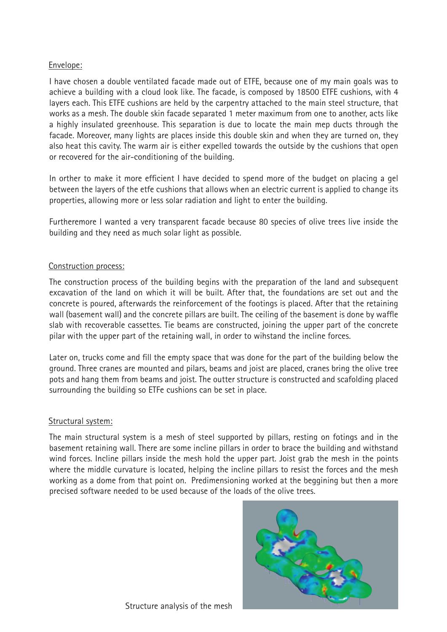# Envelope:

I have chosen a double ventilated facade made out of ETFE, because one of my main goals was to achieve a building with a cloud look like. The facade, is composed by 18500 ETFE cushions, with 4 layers each. This ETFE cushions are held by the carpentry attached to the main steel structure, that works as a mesh. The double skin facade separated 1 meter maximum from one to another, acts like a highly insulated greenhouse. This separation is due to locate the main mep ducts through the facade. Moreover, many lights are places inside this double skin and when they are turned on, they also heat this cavity. The warm air is either expelled towards the outside by the cushions that open or recovered for the air-conditioning of the building.

In orther to make it more efficient I have decided to spend more of the budget on placing a gel between the layers of the etfe cushions that allows when an electric current is applied to change its properties, allowing more or less solar radiation and light to enter the building.

Furtheremore I wanted a very transparent facade because 80 species of olive trees live inside the building and they need as much solar light as possible.

# Construction process:

The construction process of the building begins with the preparation of the land and subsequent excavation of the land on which it will be built. After that, the foundations are set out and the concrete is poured, afterwards the reinforcement of the footings is placed. After that the retaining wall (basement wall) and the concrete pillars are built. The ceiling of the basement is done by waffle slab with recoverable cassettes. Tie beams are constructed, joining the upper part of the concrete pilar with the upper part of the retaining wall, in order to wihstand the incline forces.

Later on, trucks come and fill the empty space that was done for the part of the building below the ground. Three cranes are mounted and pilars, beams and joist are placed, cranes bring the olive tree pots and hang them from beams and joist. The outter structure is constructed and scafolding placed surrounding the building so ETFe cushions can be set in place.

## Structural system:

The main structural system is a mesh of steel supported by pillars, resting on fotings and in the basement retaining wall. There are some incline pillars in order to brace the building and withstand wind forces. Incline pillars inside the mesh hold the upper part. Joist grab the mesh in the points where the middle curvature is located, helping the incline pillars to resist the forces and the mesh working as a dome from that point on. Predimensioning worked at the beggining but then a more precised software needed to be used because of the loads of the olive trees.

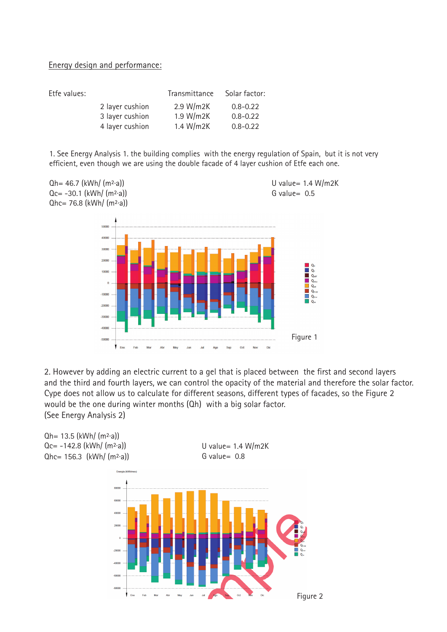## Energy design and performance:

| Etfe values: |                 | Transmittance | Solar factor: |
|--------------|-----------------|---------------|---------------|
|              | 2 layer cushion | 2.9 W/m2K     | $0.8 - 0.22$  |
|              | 3 layer cushion | 1.9 W/m2K     | $0.8 - 0.22$  |
|              | 4 layer cushion | 1.4 W/m2K     | $0.8 - 0.22$  |
|              |                 |               |               |

1. See Energy Analysis 1. the building complies with the energy regulation of Spain, but it is not very efficient, even though we are using the double facade of 4 layer cushion of Etfe each one.



2. However by adding an electric current to a gel that is placed between the first and second layers and the third and fourth layers, we can control the opacity of the material and therefore the solar factor. Cype does not allow us to calculate for different seasons, different types of facades, so the Figure 2 would be the one during winter months (Qh) with a big solar factor. (See Energy Analysis 2)

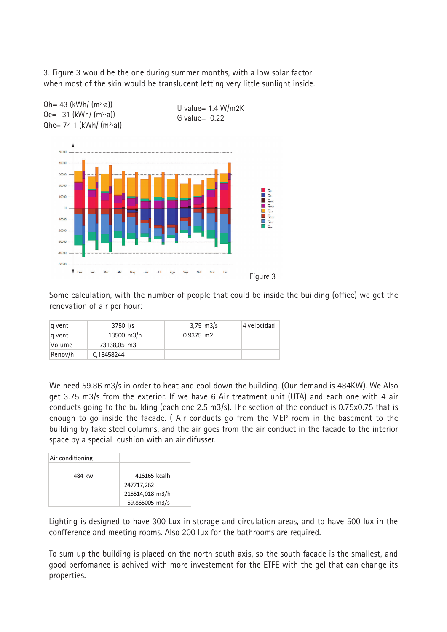3. Figure 3 would be the one during summer months, with a low solar factor when most of the skin would be translucent letting very little sunlight inside.



Some calculation, with the number of people that could be inside the building (office) we get the renovation of air per hour:

| g vent  | $3750$ I/s              |                         | $3.75 \, \text{m}$ 3/s | 4 velocidad |
|---------|-------------------------|-------------------------|------------------------|-------------|
| g vent  | $13500 \, \text{m}$ 3/h | $0.9375 \, \mathrm{m2}$ |                        |             |
| Volume  | 73138,05 m3             |                         |                        |             |
| Renov/h | 0,18458244              |                         |                        |             |

We need 59.86 m3/s in order to heat and cool down the building. (Our demand is 484KW). We Also get 3.75 m3/s from the exterior. If we have 6 Air treatment unit (UTA) and each one with 4 air conducts going to the building (each one 2.5 m3/s). The section of the conduct is 0.75x0.75 that is enough to go inside the facade. ( Air conducts go from the MEP room in the basement to the building by fake steel columns, and the air goes from the air conduct in the facade to the interior space by a special cushion with an air difusser.

| Air conditioning |                 |  |
|------------------|-----------------|--|
|                  |                 |  |
| 484 kw           | 416165 kcalh    |  |
|                  | 247717,262      |  |
|                  | 215514,018 m3/h |  |
|                  | 59,865005 m3/s  |  |

Lighting is designed to have 300 Lux in storage and circulation areas, and to have 500 lux in the confference and meeting rooms. Also 200 lux for the bathrooms are required.

To sum up the building is placed on the north south axis, so the south facade is the smallest, and good perfomance is achived with more investement for the ETFE with the gel that can change its properties.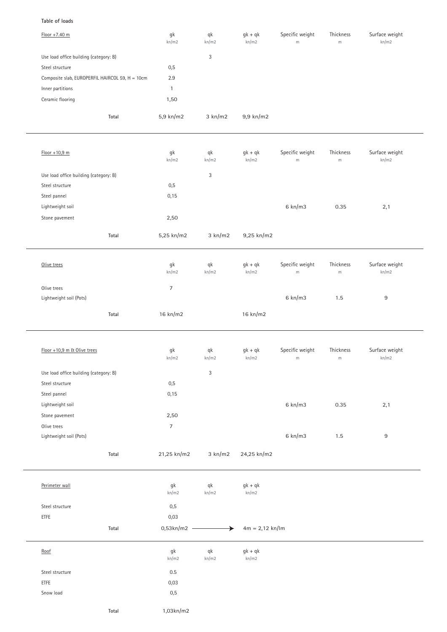## **Table of loads**

| Floor +7.40 m                                   | $\mathsf{g}\mathsf{k}$<br>kn/m2 | $\mathsf{q}\mathsf{k}$<br>kn/m2 | $gk + qk$<br>kn/m2 | Specific weight<br>m | Thickness<br>$\,$ m $\,$ | Surface weight<br>kn/m2 |
|-------------------------------------------------|---------------------------------|---------------------------------|--------------------|----------------------|--------------------------|-------------------------|
| Use load office building (category: B)          |                                 | 3                               |                    |                      |                          |                         |
| Steel structure                                 | 0,5                             |                                 |                    |                      |                          |                         |
| Composite slab, EUROPERFIL HAIRCOL 59, H = 10cm | 2.9                             |                                 |                    |                      |                          |                         |
| Inner partitions                                | $\mathbf{1}$                    |                                 |                    |                      |                          |                         |
| Ceramic flooring                                | 1,50                            |                                 |                    |                      |                          |                         |
| Total                                           | 5,9 kn/m2                       | 3 km/m2                         | 9,9 kn/m2          |                      |                          |                         |
|                                                 |                                 |                                 |                    |                      |                          |                         |
| $Floor + 10,9$ m                                | gk<br>kn/m2                     | qk<br>kn/m2                     | $gk + qk$<br>kn/m2 | Specific weight<br>m | Thickness<br>$\,$ m $\,$ | Surface weight<br>kn/m2 |
| Use load office building (category: B)          |                                 | 3                               |                    |                      |                          |                         |
| Steel structure                                 | 0,5                             |                                 |                    |                      |                          |                         |
| Steel pannel                                    | 0,15                            |                                 |                    |                      |                          |                         |
| Lightweight soil                                |                                 |                                 |                    | 6 km/m3              | 0.35                     | 2,1                     |
| Stone pavement                                  | 2,50                            |                                 |                    |                      |                          |                         |
| Total                                           | 5,25 kn/m2                      | 3 km/m2                         | 9,25 kn/m2         |                      |                          |                         |
| Olive trees                                     | $\mathsf{g}\mathsf{k}$<br>kn/m2 | $\mathsf{q}\mathsf{k}$<br>kn/m2 | $gk + qk$<br>kn/m2 | Specific weight<br>m | Thickness<br>${\sf m}$   | Surface weight<br>kn/m2 |
| Olive trees                                     | $\overline{7}$                  |                                 |                    |                      |                          |                         |
| Lightweight soil (Pots)                         |                                 |                                 |                    | 6 km/m3              | 1.5                      | 9                       |
|                                                 |                                 |                                 |                    |                      |                          |                         |
| Total                                           | 16 kn/m2                        |                                 | 16 kn/m2           |                      |                          |                         |
|                                                 |                                 |                                 |                    |                      |                          |                         |
| Floor +10,9 m & Olive trees                     | gk<br>kn/m2                     | qk<br>kn/m2                     | $gk + qk$<br>kn/m2 | Specific weight<br>m | Thickness<br>${\sf m}$   | Surface weight<br>kn/m2 |
| Use load office building (category: B)          |                                 | 3                               |                    |                      |                          |                         |
| Steel structure                                 | 0,5                             |                                 |                    |                      |                          |                         |
| Steel pannel                                    | 0,15                            |                                 |                    |                      |                          |                         |
| Lightweight soil                                |                                 |                                 |                    | 6 km/m3              | 0.35                     | 2,1                     |
| Stone pavement                                  | 2,50                            |                                 |                    |                      |                          |                         |
| Olive trees                                     | $\boldsymbol{7}$                |                                 |                    |                      |                          |                         |
| Lightweight soil (Pots)                         |                                 |                                 |                    | 6 km/m3              | 1.5                      | $\boldsymbol{9}$        |
| Total                                           | 21,25 kn/m2                     | 3 km/m2                         | 24,25 kn/m2        |                      |                          |                         |
| Perimeter wall                                  | gk<br>kn/m2                     | qk<br>kn/m2                     | $gk + qk$<br>kn/m2 |                      |                          |                         |
|                                                 |                                 |                                 |                    |                      |                          |                         |
| Steel structure                                 | 0,5                             |                                 |                    |                      |                          |                         |
| ETFE                                            | 0,03                            |                                 |                    |                      |                          |                         |
| Total                                           | 0,53kn/m2 -                     | ▸                               | $4m = 2,12$ kn/lm  |                      |                          |                         |
| Root                                            | gk<br>kn/m2                     | $\mathsf{q}\mathsf{k}$<br>kn/m2 | $gk + qk$<br>kn/m2 |                      |                          |                         |
| Steel structure                                 | $0.5\,$                         |                                 |                    |                      |                          |                         |
| ETFE                                            | 0,03                            |                                 |                    |                      |                          |                         |
| Snow load                                       | $0,\!5$                         |                                 |                    |                      |                          |                         |
|                                                 |                                 |                                 |                    |                      |                          |                         |
| Total                                           | 1,03kn/m2                       |                                 |                    |                      |                          |                         |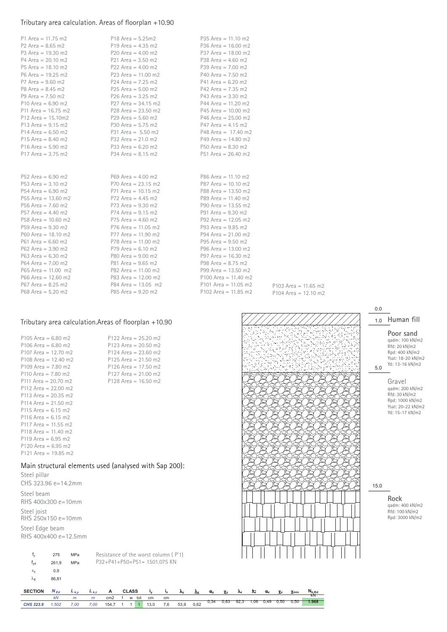## Tributary area calculation. Areas of floorplan +10.90

| P1 Area = $11.75$ m2  | $P18$ Area = 5.25m2   | $P35$ Area = 11.10 m2  |
|-----------------------|-----------------------|------------------------|
| P2 Area = $8.65$ m2   | P19 Area = $4.35$ m2  | P36 Area = $16.00$ m2  |
| P3 Area = $19.30$ m2  | P20 Area = $4.00$ m2  | $P37$ Area = 18.00 m2  |
| $P4$ Area = 20.10 m2  | P21 Area = $3.50$ m2  | P38 Area = $4.60$ m2   |
| $P5$ Area = 18.10 m2  | P22 Area = $4.00$ m2  | $P39$ Area = 7.00 m2   |
| $P6$ Area = 19.25 m2  | P23 Area = $11.00$ m2 | P40 Area = $7.50$ m2   |
| P7 Area = $9.60$ m2   | P24 Area = $7.25$ m2  | P41 Area = $6.20$ m2   |
| $P8$ Area = 8.45 m2   | P25 Area = $5.00$ m2  | P42 Area = $7.35$ m2   |
| P9 Area = $7.50$ m2   | P26 Area = $3.25$ m2  | P43 Area = $3.30$ m2   |
| P10 Area = $6.90$ m2  | P27 Area = $34.15$ m2 | $P44$ Area = 11.20 m2  |
| P11 Area = $16.75$ m2 | P28 Area = $23.50$ m2 | P45 Area = $10.00$ m2  |
| P12 Area = $15.10m2$  | P29 Area = $5.60$ m2  | $P46$ Area = 25.00 m2  |
| P13 Area = $9.15$ m2  | P30 Area = $5.75$ m2  | $P47$ Area = 4.15 m2   |
| P14 Area = $6.50$ m2  | P31 Area = $5.50$ m2  | P48 Area = $17.40$ m2  |
| P15 Area = $8.40$ m2  | $P32$ Area = 21.0 m2  | P49 Area = $14.80$ m2  |
| $P16$ Area = 5.90 m2  | $P33$ Area = 6.20 m2  | $P50$ Area = 8.30 m2   |
| P17 Area = $3.75$ m2  | P34 Area = $8.15$ m2  | P51 Area = $26.40$ m2  |
|                       |                       |                        |
|                       |                       |                        |
| P52 Area = $6.90$ m2  | $P69$ Area = 4.00 m2  | $P86$ Area = 11.10 m2  |
| $P53$ Area = 3.10 m2  | P70 Area = $23.15$ m2 | $P87$ Area = 10.10 m2  |
| $P54$ Area = 6.90 m2  | P71 Area = $10.15$ m2 | P88 Area = $13.50$ m2  |
| P55 Area = $13.60$ m2 | $P72$ Area = 4.45 m2  | P89 Area = $11.40$ m2  |
| P56 Area = $7.60$ m2  | $P73$ Area = 9.30 m2  | P90 Area = $13.55$ m2  |
| P57 Area = $4.40$ m2  | $P74$ Area = 9.15 m2  | P91 Area = $9.30$ m2   |
| P58 Area = $10.60$ m2 | $P75$ Area = 4.60 m2  | P92 Area = $12.05$ m2  |
| P59 Area = $9.30$ m2  | $P76$ Area = 11.05 m2 | P93 Area = $9.85$ m2   |
| P60 Area = $18.10$ m2 | $P77$ Area = 11.90 m2 | $P94$ Area = 21.00 m2  |
| P61 Area = $6.60$ m2  | P78 Area = $11.00$ m2 | P95 Area = $9.50$ m2   |
| $P62$ Area = 3.90 m2  | $P79$ Area = 6.10 m2  | P96 Area = $13.00$ m2  |
| P63 Area = $6.30$ m2  | P80 Area = $9.00$ m2  | P97 Area = $16.30$ m2  |
| $P64$ Area = 7.00 m2  | P81 Area = $9.65$ m2  | P98 Area = $8.75$ m2   |
| $P65$ Area = 11.00 m2 | P82 Area = $11.00$ m2 | P99 Area = $13.50$ m2  |
| $P66$ Area = 12.60 m2 | P83 Area = $12.00$ m2 | P100 Area = $11.40$ m2 |
| $P67$ Area = 8.25 m2  | $P84$ Area = 13.05 m2 | P101 Area = $11.05$ m2 |
| $P68$ Area = 5.20 m2  | $P85$ Area = 9.20 m2  | P102 Area = $11.85$ m2 |

#### P103 Area = 11.65 m2 P104 Area = 12.10 m2

## Tributary area calculation.Areas of floorplan +10.90

P122 Area = 25.20 m2 P123 Area = 20.50 m2 P124 Area = 23.60 m2 P125 Area = 21.50 m2 P126 Area = 17.50 m2 P127 Area = 21.00 m2 P128 Area = 16.50 m2

| P105 Area = $6.80$ m2  |
|------------------------|
| P106 Area = 6.80 m2    |
| P107 Area = 12.70 m2   |
| $P108$ Area = 12.40 m2 |
| $P109$ Area = 7.80 m2  |
| P110 Area = $7.80$ m2  |
| P111 Area = 20.70 m2   |
| $P112$ Area = 22.00 m2 |
| P113 Area = 20.35 m2   |
| $P114$ Area = 21.50 m2 |
| $P115$ Area = 6.15 m2  |
| P116 Area = 6.15 m2    |
| $P117$ Area = 11.55 m2 |
| P118 Area = 11.40 m2   |
| $P119$ Area = 6.95 m2  |
| P120 Area = 6.95 m2    |
| P121 Area = 19.85 m2   |

# Main structural elements used (analysed with Sap 200):

| Steel pillar<br>CHS 323.96 e=14.2mm     |
|-----------------------------------------|
| Steel beam<br>RHS 400x300 e=10mm        |
| Steel joist<br>RHS 250x150 e=10mm       |
| Steel Edge beam<br>RHS 400x400 e=12.5mm |



*CHS 323.9 1.502 7,00 7,00* 154,7 1 1 1 13,0 7,6 53,9 0,62 0,34 0,83 92,3 1,06 0,49 0,50 0,50 **1.968**